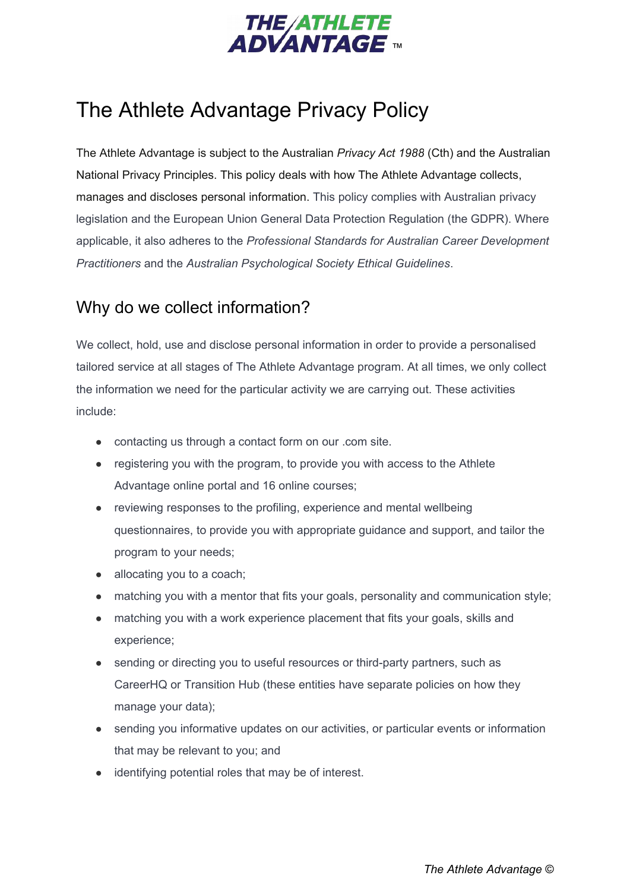

# The Athlete Advantage Privacy Policy

The Athlete Advantage is subject to the Australian *Privacy Act 1988* (Cth) and the Australian National Privacy Principles. This policy deals with how The Athlete Advantage collects, manages and discloses personal information. This policy complies with Australian privacy legislation and the European Union General Data Protection Regulation (the GDPR). Where applicable, it also adheres to the *Professional Standards for Australian Career Development Practitioners* and the *Australian Psychological Society Ethical Guidelines*.

### Why do we collect information?

We collect, hold, use and disclose personal information in order to provide a personalised tailored service at all stages of The Athlete Advantage program. At all times, we only collect the information we need for the particular activity we are carrying out. These activities include:

- contacting us through a contact form on our .com site.
- registering you with the program, to provide you with access to the Athlete Advantage online portal and 16 online courses;
- reviewing responses to the profiling, experience and mental wellbeing questionnaires, to provide you with appropriate guidance and support, and tailor the program to your needs;
- allocating you to a coach;
- matching you with a mentor that fits your goals, personality and communication style;
- matching you with a work experience placement that fits your goals, skills and experience;
- sending or directing you to useful resources or third-party partners, such as CareerHQ or Transition Hub (these entities have separate policies on how they manage your data);
- sending you informative updates on our activities, or particular events or information that may be relevant to you; and
- identifying potential roles that may be of interest.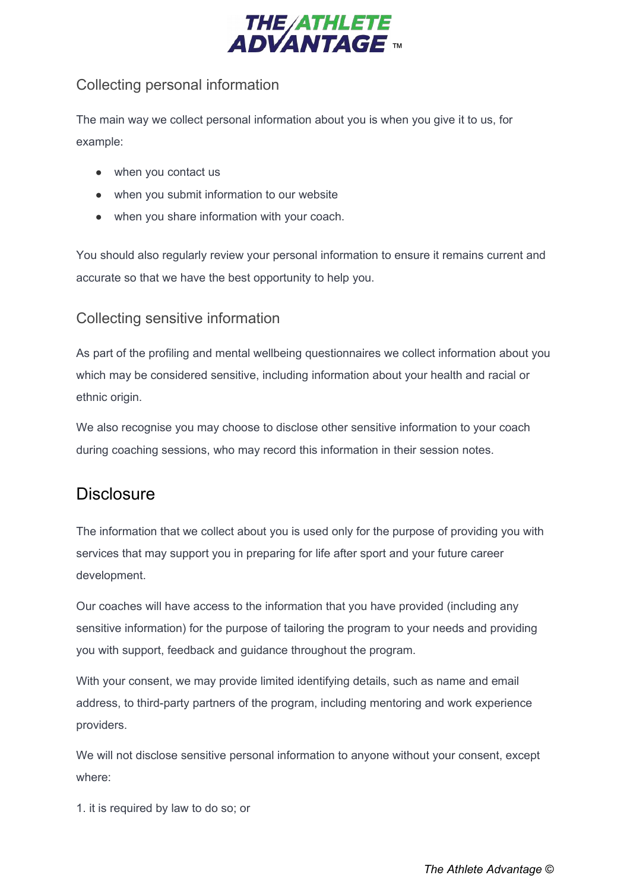

#### Collecting personal information

The main way we collect personal information about you is when you give it to us, for example:

- when you contact us
- when you submit information to our website
- when you share information with your coach.

You should also regularly review your personal information to ensure it remains current and accurate so that we have the best opportunity to help you.

#### Collecting sensitive information

As part of the profiling and mental wellbeing questionnaires we collect information about you which may be considered sensitive, including information about your health and racial or ethnic origin.

We also recognise you may choose to disclose other sensitive information to your coach during coaching sessions, who may record this information in their session notes.

### **Disclosure**

The information that we collect about you is used only for the purpose of providing you with services that may support you in preparing for life after sport and your future career development.

Our coaches will have access to the information that you have provided (including any sensitive information) for the purpose of tailoring the program to your needs and providing you with support, feedback and guidance throughout the program.

With your consent, we may provide limited identifying details, such as name and email address, to third-party partners of the program, including mentoring and work experience providers.

We will not disclose sensitive personal information to anyone without your consent, except where:

1. it is required by law to do so; or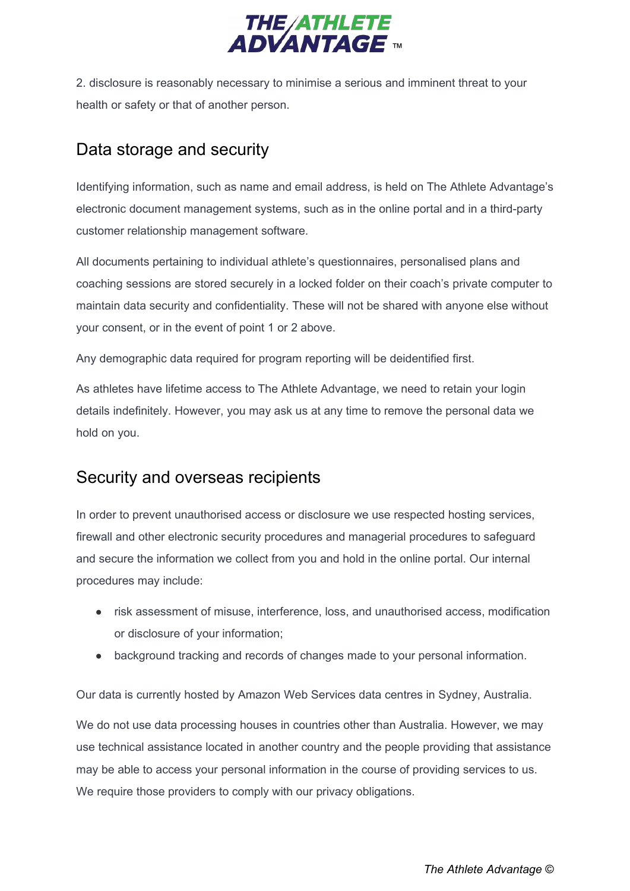

2. disclosure is reasonably necessary to minimise a serious and imminent threat to your health or safety or that of another person.

# Data storage and security

Identifying information, such as name and email address, is held on The Athlete Advantage's electronic document management systems, such as in the online portal and in a third-party customer relationship management software.

All documents pertaining to individual athlete's questionnaires, personalised plans and coaching sessions are stored securely in a locked folder on their coach's private computer to maintain data security and confidentiality. These will not be shared with anyone else without your consent, or in the event of point 1 or 2 above.

Any demographic data required for program reporting will be deidentified first.

As athletes have lifetime access to The Athlete Advantage, we need to retain your login details indefinitely. However, you may ask us at any time to remove the personal data we hold on you.

# Security and overseas recipients

In order to prevent unauthorised access or disclosure we use respected hosting services, firewall and other electronic security procedures and managerial procedures to safeguard and secure the information we collect from you and hold in the online portal. Our internal procedures may include:

- risk assessment of misuse, interference, loss, and unauthorised access, modification or disclosure of your information;
- background tracking and records of changes made to your personal information.

Our data is currently hosted by Amazon Web Services data centres in Sydney, Australia.

We do not use data processing houses in countries other than Australia. However, we may use technical assistance located in another country and the people providing that assistance may be able to access your personal information in the course of providing services to us. We require those providers to comply with our privacy obligations.